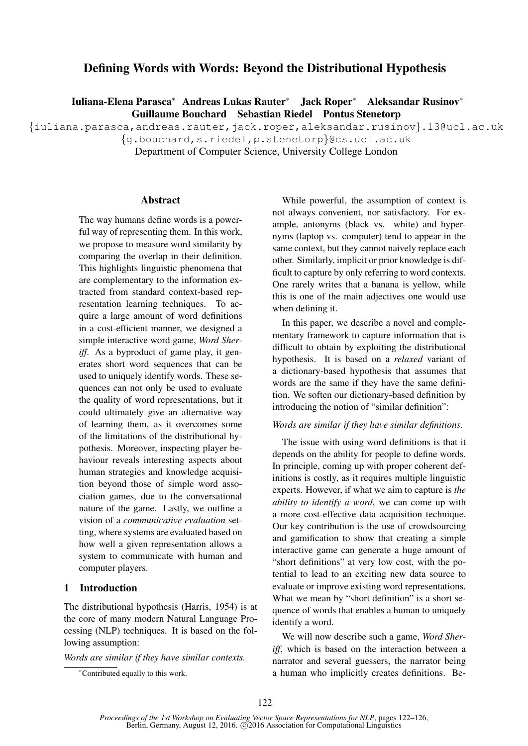# Defining Words with Words: Beyond the Distributional Hypothesis

Iuliana-Elena Parasca<sup>∗</sup> Andreas Lukas Rauter<sup>∗</sup> Jack Roper<sup>∗</sup> Aleksandar Rusinov<sup>∗</sup> Guillaume Bouchard Sebastian Riedel Pontus Stenetorp

{iuliana.parasca,andreas.rauter,jack.roper,aleksandar.rusinov}.13@ucl.ac.uk

{g.bouchard,s.riedel,p.stenetorp}@cs.ucl.ac.uk

Department of Computer Science, University College London

#### Abstract

The way humans define words is a powerful way of representing them. In this work, we propose to measure word similarity by comparing the overlap in their definition. This highlights linguistic phenomena that are complementary to the information extracted from standard context-based representation learning techniques. To acquire a large amount of word definitions in a cost-efficient manner, we designed a simple interactive word game, *Word Sheriff.* As a byproduct of game play, it generates short word sequences that can be used to uniquely identify words. These sequences can not only be used to evaluate the quality of word representations, but it could ultimately give an alternative way of learning them, as it overcomes some of the limitations of the distributional hypothesis. Moreover, inspecting player behaviour reveals interesting aspects about human strategies and knowledge acquisition beyond those of simple word association games, due to the conversational nature of the game. Lastly, we outline a vision of a *communicative evaluation* setting, where systems are evaluated based on how well a given representation allows a system to communicate with human and computer players.

### 1 Introduction

The distributional hypothesis (Harris, 1954) is at the core of many modern Natural Language Processing (NLP) techniques. It is based on the following assumption:

*Words are similar if they have similar contexts.*

<sup>∗</sup>Contributed equally to this work.

While powerful, the assumption of context is not always convenient, nor satisfactory. For example, antonyms (black vs. white) and hypernyms (laptop vs. computer) tend to appear in the same context, but they cannot naively replace each other. Similarly, implicit or prior knowledge is difficult to capture by only referring to word contexts. One rarely writes that a banana is yellow, while this is one of the main adjectives one would use when defining it.

In this paper, we describe a novel and complementary framework to capture information that is difficult to obtain by exploiting the distributional hypothesis. It is based on a *relaxed* variant of a dictionary-based hypothesis that assumes that words are the same if they have the same definition. We soften our dictionary-based definition by introducing the notion of "similar definition":

#### *Words are similar if they have similar definitions.*

The issue with using word definitions is that it depends on the ability for people to define words. In principle, coming up with proper coherent definitions is costly, as it requires multiple linguistic experts. However, if what we aim to capture is *the ability to identify a word*, we can come up with a more cost-effective data acquisition technique. Our key contribution is the use of crowdsourcing and gamification to show that creating a simple interactive game can generate a huge amount of "short definitions" at very low cost, with the potential to lead to an exciting new data source to evaluate or improve existing word representations. What we mean by "short definition" is a short sequence of words that enables a human to uniquely identify a word.

We will now describe such a game, *Word Sheriff*, which is based on the interaction between a narrator and several guessers, the narrator being a human who implicitly creates definitions. Be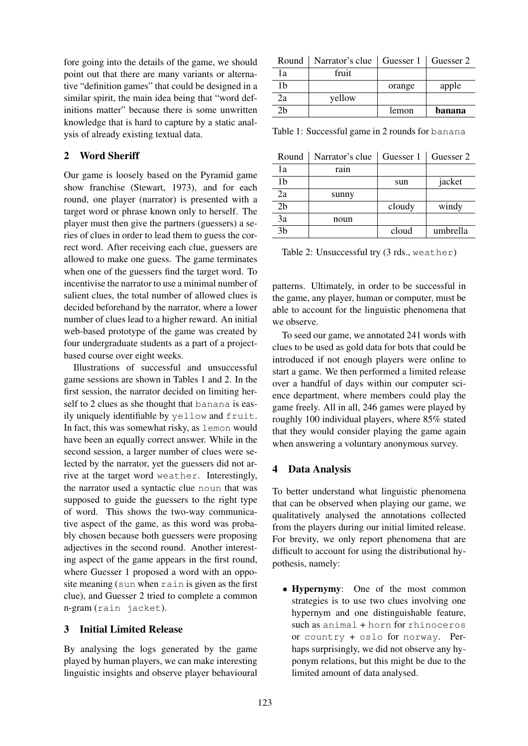fore going into the details of the game, we should point out that there are many variants or alternative "definition games" that could be designed in a similar spirit, the main idea being that "word definitions matter" because there is some unwritten knowledge that is hard to capture by a static analysis of already existing textual data.

# 2 Word Sheriff

Our game is loosely based on the Pyramid game show franchise (Stewart, 1973), and for each round, one player (narrator) is presented with a target word or phrase known only to herself. The player must then give the partners (guessers) a series of clues in order to lead them to guess the correct word. After receiving each clue, guessers are allowed to make one guess. The game terminates when one of the guessers find the target word. To incentivise the narrator to use a minimal number of salient clues, the total number of allowed clues is decided beforehand by the narrator, where a lower number of clues lead to a higher reward. An initial web-based prototype of the game was created by four undergraduate students as a part of a projectbased course over eight weeks.

Illustrations of successful and unsuccessful game sessions are shown in Tables 1 and 2. In the first session, the narrator decided on limiting herself to 2 clues as she thought that banana is easily uniquely identifiable by yellow and fruit. In fact, this was somewhat risky, as lemon would have been an equally correct answer. While in the second session, a larger number of clues were selected by the narrator, yet the guessers did not arrive at the target word weather. Interestingly, the narrator used a syntactic clue noun that was supposed to guide the guessers to the right type of word. This shows the two-way communicative aspect of the game, as this word was probably chosen because both guessers were proposing adjectives in the second round. Another interesting aspect of the game appears in the first round, where Guesser 1 proposed a word with an opposite meaning (sun when rain is given as the first clue), and Guesser 2 tried to complete a common n-gram (rain jacket).

## 3 Initial Limited Release

By analysing the logs generated by the game played by human players, we can make interesting linguistic insights and observe player behavioural

| Round | Narrator's clue | Guesser 1   Guesser 2 |        |
|-------|-----------------|-----------------------|--------|
| 1a    | fruit           |                       |        |
| 1h    |                 | orange                | apple  |
| 2a    | yellow          |                       |        |
| 7հ    |                 | lemon                 | banana |

Table 1: Successful game in 2 rounds for banana

| Round          | Narrator's clue |        | Guesser 1   Guesser 2 |
|----------------|-----------------|--------|-----------------------|
| 1a             | rain            |        |                       |
| 1b             |                 | sun    | jacket                |
| 2a             | sunny           |        |                       |
| 2 <sub>b</sub> |                 | cloudy | windy                 |
| 3a             | noun            |        |                       |
| 3 <sub>b</sub> |                 | cloud  | umbrella              |

Table 2: Unsuccessful try (3 rds., weather)

patterns. Ultimately, in order to be successful in the game, any player, human or computer, must be able to account for the linguistic phenomena that we observe.

To seed our game, we annotated 241 words with clues to be used as gold data for bots that could be introduced if not enough players were online to start a game. We then performed a limited release over a handful of days within our computer science department, where members could play the game freely. All in all, 246 games were played by roughly 100 individual players, where 85% stated that they would consider playing the game again when answering a voluntary anonymous survey.

## 4 Data Analysis

To better understand what linguistic phenomena that can be observed when playing our game, we qualitatively analysed the annotations collected from the players during our initial limited release. For brevity, we only report phenomena that are difficult to account for using the distributional hypothesis, namely:

• Hypernymy: One of the most common strategies is to use two clues involving one hypernym and one distinguishable feature, such as animal + horn for rhinoceros or country + oslo for norway. Perhaps surprisingly, we did not observe any hyponym relations, but this might be due to the limited amount of data analysed.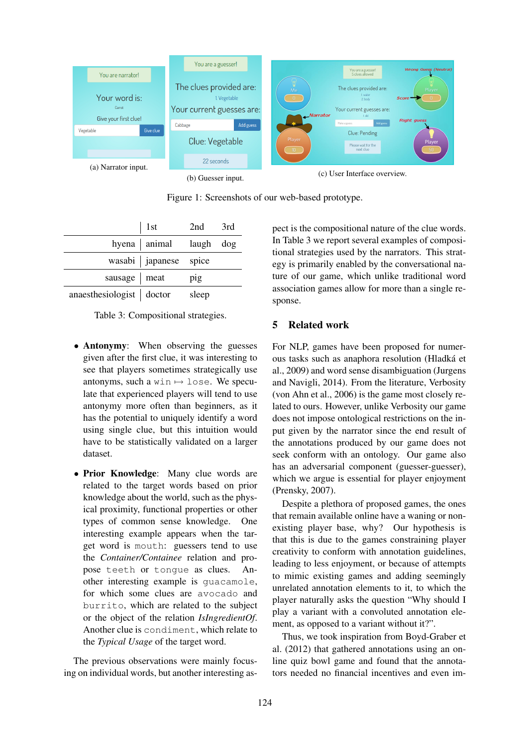

Figure 1: Screenshots of our web-based prototype.

|                          | 1st                               | 2nd   | 3rd |
|--------------------------|-----------------------------------|-------|-----|
|                          | hyena   animal $\qquad$ laugh dog |       |     |
|                          | wasabi   japanese spice           |       |     |
| sausage $ $ meat         |                                   | pig   |     |
| anaesthesiologist doctor |                                   | sleep |     |

|  | Table 3: Compositional strategies. |  |
|--|------------------------------------|--|
|--|------------------------------------|--|

- Antonymy: When observing the guesses given after the first clue, it was interesting to see that players sometimes strategically use antonyms, such a win  $\mapsto$  lose. We speculate that experienced players will tend to use antonymy more often than beginners, as it has the potential to uniquely identify a word using single clue, but this intuition would have to be statistically validated on a larger dataset.
- Prior Knowledge: Many clue words are related to the target words based on prior knowledge about the world, such as the physical proximity, functional properties or other types of common sense knowledge. One interesting example appears when the target word is mouth: guessers tend to use the *Container/Containee* relation and propose teeth or tongue as clues. Another interesting example is guacamole, for which some clues are avocado and burrito, which are related to the subject or the object of the relation *IsIngredientOf*. Another clue is condiment, which relate to the *Typical Usage* of the target word.

The previous observations were mainly focusing on individual words, but another interesting aspect is the compositional nature of the clue words. In Table 3 we report several examples of compositional strategies used by the narrators. This strategy is primarily enabled by the conversational nature of our game, which unlike traditional word association games allow for more than a single response.

### 5 Related work

For NLP, games have been proposed for numerous tasks such as anaphora resolution (Hladká et al., 2009) and word sense disambiguation (Jurgens and Navigli, 2014). From the literature, Verbosity (von Ahn et al., 2006) is the game most closely related to ours. However, unlike Verbosity our game does not impose ontological restrictions on the input given by the narrator since the end result of the annotations produced by our game does not seek conform with an ontology. Our game also has an adversarial component (guesser-guesser), which we argue is essential for player enjoyment (Prensky, 2007).

Despite a plethora of proposed games, the ones that remain available online have a waning or nonexisting player base, why? Our hypothesis is that this is due to the games constraining player creativity to conform with annotation guidelines, leading to less enjoyment, or because of attempts to mimic existing games and adding seemingly unrelated annotation elements to it, to which the player naturally asks the question "Why should I play a variant with a convoluted annotation element, as opposed to a variant without it?".

Thus, we took inspiration from Boyd-Graber et al. (2012) that gathered annotations using an online quiz bowl game and found that the annotators needed no financial incentives and even im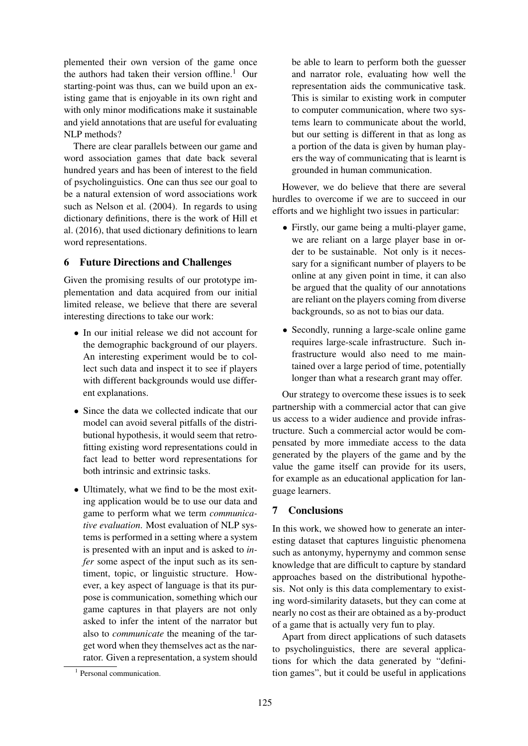plemented their own version of the game once the authors had taken their version offline.<sup>1</sup> Our starting-point was thus, can we build upon an existing game that is enjoyable in its own right and with only minor modifications make it sustainable and yield annotations that are useful for evaluating NLP methods?

There are clear parallels between our game and word association games that date back several hundred years and has been of interest to the field of psycholinguistics. One can thus see our goal to be a natural extension of word associations work such as Nelson et al. (2004). In regards to using dictionary definitions, there is the work of Hill et al. (2016), that used dictionary definitions to learn word representations.

### 6 Future Directions and Challenges

Given the promising results of our prototype implementation and data acquired from our initial limited release, we believe that there are several interesting directions to take our work:

- In our initial release we did not account for the demographic background of our players. An interesting experiment would be to collect such data and inspect it to see if players with different backgrounds would use different explanations.
- Since the data we collected indicate that our model can avoid several pitfalls of the distributional hypothesis, it would seem that retrofitting existing word representations could in fact lead to better word representations for both intrinsic and extrinsic tasks.
- Ultimately, what we find to be the most exiting application would be to use our data and game to perform what we term *communicative evaluation*. Most evaluation of NLP systems is performed in a setting where a system is presented with an input and is asked to *infer* some aspect of the input such as its sentiment, topic, or linguistic structure. However, a key aspect of language is that its purpose is communication, something which our game captures in that players are not only asked to infer the intent of the narrator but also to *communicate* the meaning of the target word when they themselves act as the narrator. Given a representation, a system should

be able to learn to perform both the guesser and narrator role, evaluating how well the representation aids the communicative task. This is similar to existing work in computer to computer communication, where two systems learn to communicate about the world, but our setting is different in that as long as a portion of the data is given by human players the way of communicating that is learnt is grounded in human communication.

However, we do believe that there are several hurdles to overcome if we are to succeed in our efforts and we highlight two issues in particular:

- Firstly, our game being a multi-player game, we are reliant on a large player base in order to be sustainable. Not only is it necessary for a significant number of players to be online at any given point in time, it can also be argued that the quality of our annotations are reliant on the players coming from diverse backgrounds, so as not to bias our data.
- Secondly, running a large-scale online game requires large-scale infrastructure. Such infrastructure would also need to me maintained over a large period of time, potentially longer than what a research grant may offer.

Our strategy to overcome these issues is to seek partnership with a commercial actor that can give us access to a wider audience and provide infrastructure. Such a commercial actor would be compensated by more immediate access to the data generated by the players of the game and by the value the game itself can provide for its users, for example as an educational application for language learners.

#### 7 Conclusions

In this work, we showed how to generate an interesting dataset that captures linguistic phenomena such as antonymy, hypernymy and common sense knowledge that are difficult to capture by standard approaches based on the distributional hypothesis. Not only is this data complementary to existing word-similarity datasets, but they can come at nearly no cost as their are obtained as a by-product of a game that is actually very fun to play.

Apart from direct applications of such datasets to psycholinguistics, there are several applications for which the data generated by "definition games", but it could be useful in applications

<sup>&</sup>lt;sup>1</sup> Personal communication.